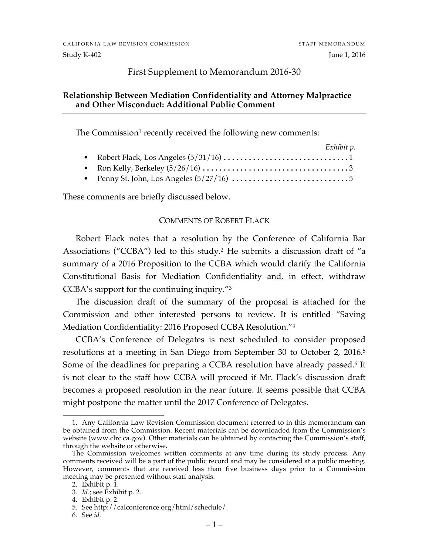#### Study K-402 June 1, 2016

### First Supplement to Memorandum 2016-30

### **Relationship Between Mediation Confidentiality and Attorney Malpractice and Other Misconduct: Additional Public Comment**

The Commission<sup>1</sup> recently received the following new comments:

|  | Exhibit p. |
|--|------------|
|  |            |
|  |            |
|  |            |

These comments are briefly discussed below.

### COMMENTS OF ROBERT FLACK

Robert Flack notes that a resolution by the Conference of California Bar Associations ("CCBA") led to this study.2 He submits a discussion draft of "a summary of a 2016 Proposition to the CCBA which would clarify the California Constitutional Basis for Mediation Confidentiality and, in effect, withdraw CCBA's support for the continuing inquiry."3

The discussion draft of the summary of the proposal is attached for the Commission and other interested persons to review. It is entitled "Saving Mediation Confidentiality: 2016 Proposed CCBA Resolution."4

CCBA's Conference of Delegates is next scheduled to consider proposed resolutions at a meeting in San Diego from September 30 to October 2, 2016.5 Some of the deadlines for preparing a CCBA resolution have already passed.<sup>6</sup> It is not clear to the staff how CCBA will proceed if Mr. Flack's discussion draft becomes a proposed resolution in the near future. It seems possible that CCBA might postpone the matter until the 2017 Conference of Delegates.

6. See *id.*

 <sup>1.</sup> Any California Law Revision Commission document referred to in this memorandum can be obtained from the Commission. Recent materials can be downloaded from the Commission's website (www.clrc.ca.gov). Other materials can be obtained by contacting the Commission's staff, through the website or otherwise.

The Commission welcomes written comments at any time during its study process. Any comments received will be a part of the public record and may be considered at a public meeting. However, comments that are received less than five business days prior to a Commission meeting may be presented without staff analysis.

<sup>2.</sup> Exhibit p. 1.

<sup>3.</sup> *Id.*; see Exhibit p. 2.

<sup>4.</sup> Exhibit p. 2.

<sup>5.</sup> See http://calconference.org/html/schedule/.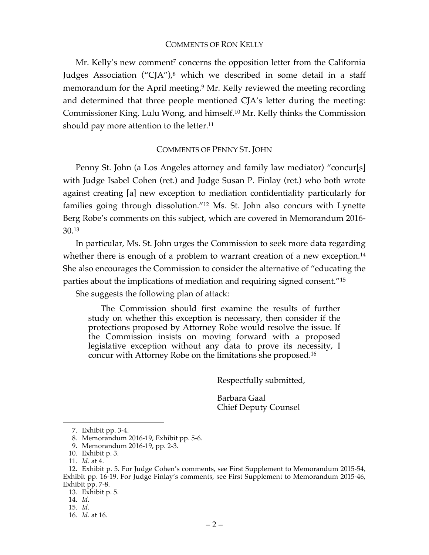### COMMENTS OF RON KELLY

Mr. Kelly's new comment<sup>7</sup> concerns the opposition letter from the California Judges Association ("CJA"), <sup>8</sup> which we described in some detail in a staff memorandum for the April meeting.<sup>9</sup> Mr. Kelly reviewed the meeting recording and determined that three people mentioned CJA's letter during the meeting: Commissioner King, Lulu Wong, and himself.10 Mr. Kelly thinks the Commission should pay more attention to the letter.<sup>11</sup>

### COMMENTS OF PENNY ST. JOHN

Penny St. John (a Los Angeles attorney and family law mediator) "concur[s] with Judge Isabel Cohen (ret.) and Judge Susan P. Finlay (ret.) who both wrote against creating [a] new exception to mediation confidentiality particularly for families going through dissolution."12 Ms. St. John also concurs with Lynette Berg Robe's comments on this subject, which are covered in Memorandum 2016- 30.13

In particular, Ms. St. John urges the Commission to seek more data regarding whether there is enough of a problem to warrant creation of a new exception.<sup>14</sup> She also encourages the Commission to consider the alternative of "educating the parties about the implications of mediation and requiring signed consent."15

She suggests the following plan of attack:

The Commission should first examine the results of further study on whether this exception is necessary, then consider if the protections proposed by Attorney Robe would resolve the issue. If the Commission insists on moving forward with a proposed legislative exception without any data to prove its necessity, I concur with Attorney Robe on the limitations she proposed.16

Respectfully submitted,

Barbara Gaal Chief Deputy Counsel

 <sup>7.</sup> Exhibit pp. 3-4.

<sup>8.</sup> Memorandum 2016-19, Exhibit pp. 5-6.

<sup>9.</sup> Memorandum 2016-19, pp. 2-3.

<sup>10.</sup> Exhibit p. 3.

<sup>11.</sup> *Id.* at 4.

<sup>12.</sup> Exhibit p. 5. For Judge Cohen's comments, see First Supplement to Memorandum 2015-54, Exhibit pp. 16-19. For Judge Finlay's comments, see First Supplement to Memorandum 2015-46, Exhibit pp. 7-8.

<sup>13.</sup> Exhibit p. 5.

<sup>14.</sup> *Id.*

<sup>15.</sup> *Id.*

<sup>16.</sup> *Id.* at 16.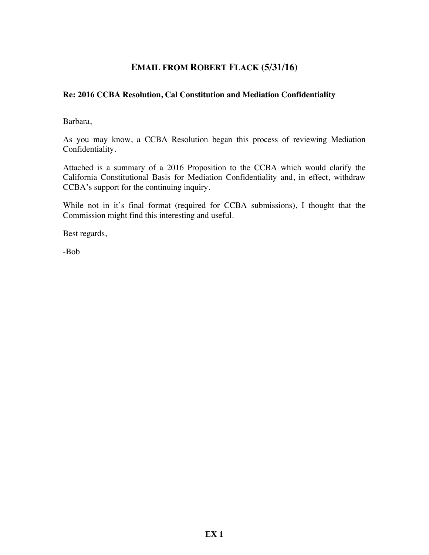# **EMAIL FROM ROBERT FLACK (5/31/16)**

## **Re: 2016 CCBA Resolution, Cal Constitution and Mediation Confidentiality**

Barbara,

As you may know, a CCBA Resolution began this process of reviewing Mediation Confidentiality.

Attached is a summary of a 2016 Proposition to the CCBA which would clarify the California Constitutional Basis for Mediation Confidentiality and, in effect, withdraw CCBA's support for the continuing inquiry.

While not in it's final format (required for CCBA submissions), I thought that the Commission might find this interesting and useful.

Best regards,

-Bob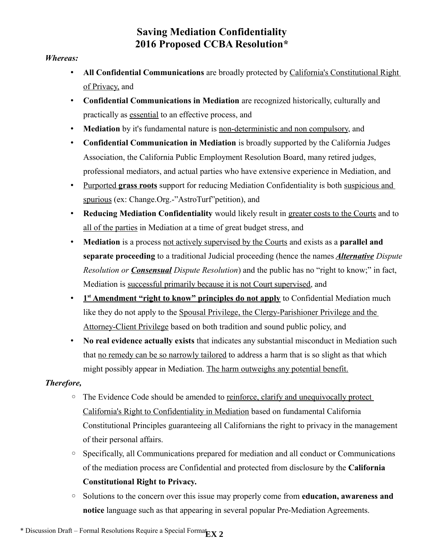# **Saving Mediation Confidentiality 2016 Proposed CCBA Resolution\***

## *Whereas:*

- All Confidential Communications are broadly protected by California's Constitutional Right of Privacy, and
- **Confidential Communications in Mediation** are recognized historically, culturally and practically as essential to an effective process, and
- **Mediation** by it's fundamental nature is non-deterministic and non compulsory, and
- **Confidential Communication in Mediation** is broadly supported by the California Judges Association, the California Public Employment Resolution Board, many retired judges, professional mediators, and actual parties who have extensive experience in Mediation, and
- •Purported **grass roots** support for reducing Mediation Confidentiality is both suspicious and spurious (ex: Change.Org.-"AstroTurf"petition), and
- **Reducing Mediation Confidentiality** would likely result in greater costs to the Courts and to all of the parties in Mediation at a time of great budget stress, and
- **Mediation** is a process not actively supervised by the Courts and exists as a **parallel and separate proceeding** to a traditional Judicial proceeding (hence the names *Alternative Dispute Resolution or Consensual Dispute Resolution*) and the public has no "right to know;" in fact, Mediation is successful primarily because it is not Court supervised, and
- **1<sup>st</sup> Amendment "right to know" principles do not apply** to Confidential Mediation much like they do not apply to the Spousal Privilege, the Clergy-Parishioner Privilege and the Attorney-Client Privilege based on both tradition and sound public policy, and
- **No real evidence actually exists** that indicates any substantial misconduct in Mediation such that no remedy can be so narrowly tailored to address a harm that is so slight as that which might possibly appear in Mediation. The harm outweighs any potential benefit.

# *Therefore,*

- The Evidence Code should be amended to reinforce, clarify and unequivocally protect California's Right to Confidentiality in Mediation based on fundamental California Constitutional Principles guaranteeing all Californians the right to privacy in the management of their personal affairs.
- Specifically, all Communications prepared for mediation and all conduct or Communications of the mediation process are Confidential and protected from disclosure by the **California Constitutional Right to Privacy.**
- Solutions to the concern over this issue may properly come from **education, awareness and notice** language such as that appearing in several popular Pre-Mediation Agreements.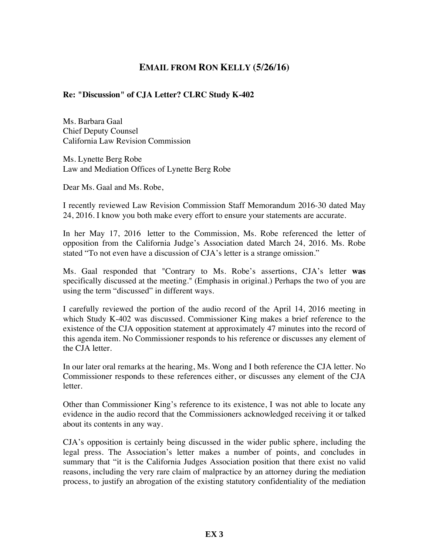# **EMAIL FROM RON KELLY (5/26/16)**

## **Re: "Discussion" of CJA Letter? CLRC Study K-402**

Ms. Barbara Gaal Chief Deputy Counsel California Law Revision Commission

Ms. Lynette Berg Robe Law and Mediation Offices of Lynette Berg Robe

Dear Ms. Gaal and Ms. Robe,

I recently reviewed Law Revision Commission Staff Memorandum 2016-30 dated May 24, 2016. I know you both make every effort to ensure your statements are accurate.

In her May 17, 2016 letter to the Commission, Ms. Robe referenced the letter of opposition from the California Judge's Association dated March 24, 2016. Ms. Robe stated "To not even have a discussion of CJA's letter is a strange omission."

Ms. Gaal responded that "Contrary to Ms. Robe's assertions, CJA's letter **was** specifically discussed at the meeting." (Emphasis in original.) Perhaps the two of you are using the term "discussed" in different ways.

I carefully reviewed the portion of the audio record of the April 14, 2016 meeting in which Study K-402 was discussed. Commissioner King makes a brief reference to the existence of the CJA opposition statement at approximately 47 minutes into the record of this agenda item. No Commissioner responds to his reference or discusses any element of the CJA letter.

In our later oral remarks at the hearing, Ms. Wong and I both reference the CJA letter. No Commissioner responds to these references either, or discusses any element of the CJA letter.

Other than Commissioner King's reference to its existence, I was not able to locate any evidence in the audio record that the Commissioners acknowledged receiving it or talked about its contents in any way.

CJA's opposition is certainly being discussed in the wider public sphere, including the legal press. The Association's letter makes a number of points, and concludes in summary that "it is the California Judges Association position that there exist no valid reasons, including the very rare claim of malpractice by an attorney during the mediation process, to justify an abrogation of the existing statutory confidentiality of the mediation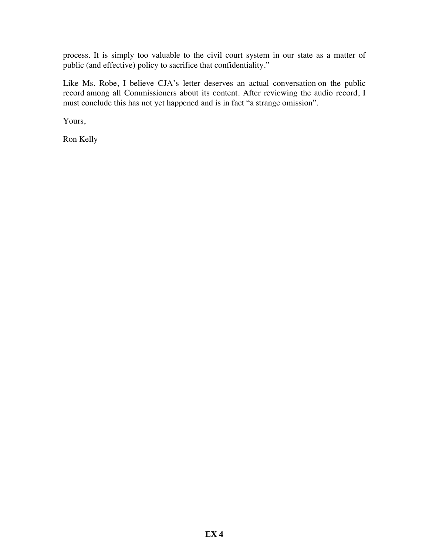process. It is simply too valuable to the civil court system in our state as a matter of public (and effective) policy to sacrifice that confidentiality."

Like Ms. Robe, I believe CJA's letter deserves an actual conversation on the public record among all Commissioners about its content. After reviewing the audio record, I must conclude this has not yet happened and is in fact "a strange omission".

Yours,

Ron Kelly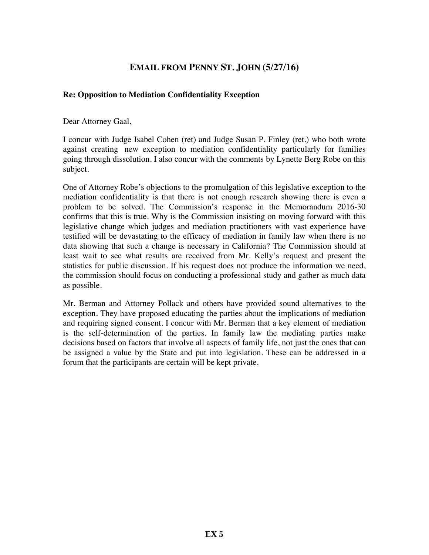# **EMAIL FROM PENNY ST. JOHN (5/27/16)**

### **Re: Opposition to Mediation Confidentiality Exception**

Dear Attorney Gaal,

I concur with Judge Isabel Cohen (ret) and Judge Susan P. Finley (ret.) who both wrote against creating new exception to mediation confidentiality particularly for families going through dissolution. I also concur with the comments by Lynette Berg Robe on this subject.

One of Attorney Robe's objections to the promulgation of this legislative exception to the mediation confidentiality is that there is not enough research showing there is even a problem to be solved. The Commission's response in the Memorandum 2016-30 confirms that this is true. Why is the Commission insisting on moving forward with this legislative change which judges and mediation practitioners with vast experience have testified will be devastating to the efficacy of mediation in family law when there is no data showing that such a change is necessary in California? The Commission should at least wait to see what results are received from Mr. Kelly's request and present the statistics for public discussion. If his request does not produce the information we need, the commission should focus on conducting a professional study and gather as much data as possible.

Mr. Berman and Attorney Pollack and others have provided sound alternatives to the exception. They have proposed educating the parties about the implications of mediation and requiring signed consent. I concur with Mr. Berman that a key element of mediation is the self-determination of the parties. In family law the mediating parties make decisions based on factors that involve all aspects of family life, not just the ones that can be assigned a value by the State and put into legislation. These can be addressed in a forum that the participants are certain will be kept private.